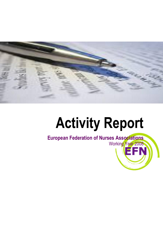

# **Activity Report**

**European Federation of Nurses Associations** Working Year 2008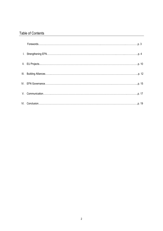# Table of Contents

| $\textbf{For} \textit{words}. \textit{} \textit{} \textit{} \textit{} \textit{} \textit{} \textit{} \textit{} \textit{} \textit{} \textit{} \textit{} \textit{} \textit{} \textit{} \textit{} \textit{} \textit{} \textit{} \textit{} \textit{} \textit{} \textit{} \textit{} \textit{} \textit{} \textit{} \textit{} \textit{} \textit{} \textit{} \textit{} \textit{} \textit{} \textit{$ |  |
|---------------------------------------------------------------------------------------------------------------------------------------------------------------------------------------------------------------------------------------------------------------------------------------------------------------------------------------------------------------------------------------------|--|
|                                                                                                                                                                                                                                                                                                                                                                                             |  |
|                                                                                                                                                                                                                                                                                                                                                                                             |  |
|                                                                                                                                                                                                                                                                                                                                                                                             |  |
|                                                                                                                                                                                                                                                                                                                                                                                             |  |
|                                                                                                                                                                                                                                                                                                                                                                                             |  |
|                                                                                                                                                                                                                                                                                                                                                                                             |  |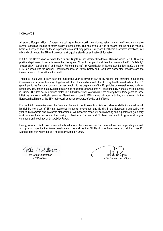# Forewords

All around Europe millions of nurses are calling for better working conditions, better salaries, sufficient and suitable human resources, leading to better quality of health care. The role of the EFN is to ensure that the nurses' voice is heard at European level on these important topics, including patient safety and healthcare associated infections, skill mix and skill needs, the EU workforce for health, quality standards and patient information.

In 2008, the Commission launched the "Patients Rights in Cross-Border Healthcare" Directive which is in EFN view a positive step forward towards implementing the agreed Council principles for all health systems in the EU: "solidarity", "accessibility", "sustainability" and "equity". Furthermore, soft law Commission initiatives saw the light in 2008 and the EFN is pleased with the Council Recommendations on Patient Safety and Healthcare Associated Infections and the Green Paper on EU Workforce for Health.

Therefore, 2008 was a very busy but successful year in terms of EU policy-making and providing input to the Commission in a pro-active way. Together with the EFN members and other EU key health stakeholders, the EFN gave input to the European policy processes, leading to the preparation of the EU policies on several issues, such as: health services, health strategy, patient safety and needlestick injuries, that will affect the daily work of 6 million nurses in Europe. The draft policy initiatives tabled in 2008 will therefore stay with us in the coming two to three years as these initiatives are very politically sensitive. Nevertheless, due to EFN strong alliances with key stakeholders in the European health arena, the EFN lobby work becomes concrete, effective and efficient.

For the third consecutive year, the European Federation of Nurses Associations makes available its annual report, highlighting the areas of EFN achievements, influence, involvement and visibility in the European arena during the year, to its members and interested stakeholders. We hope this report will be motivating and supportive to your daily work to strengthen nurses and the nursing profession at National and EU level. We are looking forward to your comments and feedback on this Activity Report.

Finally, we would like to take this opportunity to thank all the nurses across Europe who have been supporting our work and give us hope for the future developments, as well as the EU Healthcare Professions and all the other EU Stakeholders with whom the EFN has closely worked in 2008.

Grete Christensen Mr. Paul De Raeve  *EFN President EFN General Secretary*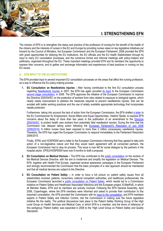

# **I. STRENGTHENING EFN**

The mission of EFN is to strengthen the status and practice of the profession of nursing for the benefit of the health of the citizens and the interests of nurses in the EU and Europe by providing nurses views on key legislative initiatives put forward by the Council of Ministers, the European Commission and the European Parliament. 2008 provided the EFN with great opportunities for lobbying the EU institutions, the EU officials and the EU health Stakeholders through its input to many EU consultation processes, and the numerous formal and informal meetings with policy-makers and politicians, organised throughout the EU. These important meetings provided EFN and its members the opportunity to express their concerns, and to gather and exchange information and experiences of best practices in nursing on key EU issues.

# **A. EFN INPUT TO THE EU INSTITUTIONS**

The EFN provided input to several important EU consultation processes on the areas that affect the nursing profession, as a way to influence the EU policy-making process.

**1. EU Consultation on Needlesticks Injuries -** After having contributed to the first EU consultation process regarding [Needlesticks Injuries](http://www.efnweb.org/version1/en/documents/EFNresponsetoEUConsultationNeedlesticks-EPSU.doc) in 2007, the EFN has again provided [its input](http://www.efnweb.org/version1/en/documents/EFNinputtoEU2ndConsultationonneedlesticksinjuries.pdf) to the European Commission [second stage consultation,](http://ec.europa.eu/employment_social/social_dialogue/docs/needlestick2_en.pdf) in 2008. The EFN approves the initiative of the European Commission to improve the Directive 2000/54/EC on the protection of workers from risks related to exposure to biological agents, which clearly needs improvement to address the measures required to prevent needlesticks injuries, that can be avoided with better working practices and the use of widely available appropriate technology that incorporates needle protection.

Furthermore, taking into account the lack of action from the European Commission, the EFN drafted [a letter](http://www.efnweb.eu/version1/en/documents/LetterCommissionerSpidla-17112008_000.DOC) to the EU Commissioner for Employment, Social Affairs and Equal Opportunities, Vladimir Špidla, to express EFN concerns about the delay of more than two years in the publication of an amendment to the [Directive](http://eur-lex.europa.eu/LexUriServ/LexUriServ.do?uri=OJ%3AL%3A2000%3A262%3A0021%3A0045%3AEN%3APDF)  [2000/54/EC,](http://eur-lex.europa.eu/LexUriServ/LexUriServ.do?uri=OJ%3AL%3A2000%3A262%3A0021%3A0045%3AEN%3APDF) to protect health care workers from potentially fatal needlestick injuries. During the time that the Commission has delayed taking action following the [European Parliament's Resolution of July 2006](http://www.europarl.europa.eu/sides/getDoc.do?pubRef=-//EP//TEXT+TA+P6-TA-2006-0305+0+DOC+XML+V0//EN)  [\(2006/2015\),](http://www.europarl.europa.eu/sides/getDoc.do?pubRef=-//EP//TEXT+TA+P6-TA-2006-0305+0+DOC+XML+V0//EN) 6 million nurses have been exposed to more than 2 million unnecessary needlestick injuries. Therefore, the EFN has urged the European Commission to respond immediately to the Parliament Resolution 2006/2015.

Finally, EPSU and HOSPEEM sent a letter to the European Commission informing that they agreed to take joint action of a non-legislative nature and that they would reach agreement with all concerned partners, the European Commission had to stop its process. This issue is now left for social dialogue by the partners in the hospital sector. EPSU/HOSPEEM have now 9 months to draft a proposal.

- **2. EU Consultation on Medical Devices –** The EFN has contributed to the [public consultation](http://ec.europa.eu/enterprise/medical_devices/recast_docs_2008/Public_consultation_en.pdf) on the revision of the Medical Devices Directive, with the aim to modernise and simplify the legislation on Medical Devices. The EFN, together with Health First Europe, organised several awareness campaigns in the European Parliament and strongly recommended the Commission that the basic principles of a new approach should be maintained and that all medical devices are subject to the Directive.
- **3. EU Consultation on Patient Safety –** In order to have a full picture on patient safety issues from all stakeholders involved, patients, consumers, national competent authorities, and healthcare professionals, the European Commission launched a [public consultation on Patient Safety,](http://ec.europa.eu/yourvoice/ipm/forms/dispatch?form=patientsafety) which results led to a Commission initiative on Patient Safety and Healthcare Associated Infections and the European project, EUNetPaS, in which all Member States, EFN and its members are actively involved. Following the EFN General Assembly, April 2008, Copenhagen, where the EFN members were informed and asked to provide their contribution to this important consultation, the EFN provided the Commission with its [input to the consultation,](http://www.efnweb.org/version1/en/documents/EFNInput-OPENCONSULTATIONONPATIENTSAFETY.pdf) and EFN members experts in Patient Safety and Infection Control, met the Commission in making sure the future legislative initiative fits the reality. The political discussions took place in the Patient Safety Working Group of the High Level Group on Health Services and Medical Care, in which EFN is a member, and the terms of reference of this workgroup "Patient Safety" was expanded in 2008 to the "High Level Group on Patient Safety and Quality Standards'.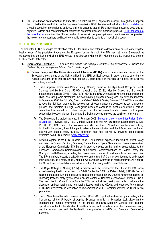**4. EU Consultation on Information to Patients -** In April 2008, the EFN provided its input, through the European Public Health Alliance (EPHA), to the European Commission DG Enterprise and Industr[y public consultation](http://ec.europa.eu/enterprise/pharmaceuticals/pharmacos/docs/doc2008/2008_02/info_to_patients_consult_200802.pdf) for a legal proposal on information to patients, aiming at ensuring that all EU citizens have access to good-quality, objective, reliable and non-promotional information on prescription-only medicinal products. [EPHA response to](http://www.efnweb.org/version1/en/documents/EPHA_FINALPositionITP_7Apr08.pdf)  [the consultation](http://www.efnweb.org/version1/en/documents/EPHA_FINALPositionITP_7Apr08.pdf) underlines the EFN opposition to advertising of prescription-only medicines and emphasises the role of nurse prescribers and how they provide information to patients on medicinal products.

# **B. EFN LOBBY PRIORITIES**

The aim of the EFN is to bring to the attention of the EU the current and potential collaboration of nurses to meeting the health needs of the population throughout the European Union. As such, the EFN has set, under 3 overarching objectives, key priorities on which the EFN worked in collaboration with the EFN Members, the EU Institutions, and the EU key health Stakeholders.

- **1. Overarching Objective 1 -** *"To ensure that nurses and nursing is central to the development of Social and Health Policy and its implementation in the EU and Europe."*
	- **Patient Safety and Healthcare Associated Infections (HCAIs)** which are a serious concern in the European Union, is one of the high priorities in the EFN political agenda. In order to make sure that the nurses views are taking into account and that the EU legislation is in line with EFN policy, the EFN has been actively involved in:
		- The European Commission Patient Safety Working Group of the High Level Group on Health Services and Medical Care (PSWG), engaging the 27 EU Member States and EU Health Stakeholders such as CPME, PGEU, EPF, HOPE and EFN. Although all working groups within the High Level Group were dismantled, the working group on patient safety was kept alive and renamed in September 2008 the *"Working Group on Patient Safety & Quality Standards"*. The EFN advocated to keep this high level group as the development of recommendations do not on its own change the practice and therefore the high level group needs to continue to meet as continuous political commitment is needed for positive change. The EFN welcomes this step forward for European cooperation between Member States and EU Stakeholders to improve the quality of healthcare.
		- **EXALUT The 30 months EU project launched in February 2008 "European Union Network for Patient Safety** [\(EUNetPaS\)](http://www.eunetpas.eu/)" involves the 27 EU Member States and the key EU Health Stakeholders CPME, PGEU, EPF, HOPE and EFN. As Associate Member, the EFN and its members are actively involved in the project, through the participation in the coordination and the different work packages dealing with 'patient safety culture', 'education' and 'field testing' by providing good practice examples from EFN members (*[www.efnweb.eu\)](http://www.efnweb.eu/)*.
		- Bringing together in the EFN Brussels Office EFN members" experts in the field of Patient Safety and Infection Control (Belgium, Denmark, France, Ireland, Spain, Sweden) and two representatives of the European Commission DG Sanco, in order to discuss on the nursing issues related to the European Commission Communication and Council Recommendations on Patient Safety and Quality of Health Services, including the prevention and control of Healthcare Associated Infections. The EFN members' experts provided their view on the two draft Commission documents and shared their expertise, as a reality check, with the two European Commission representatives. As a result, the Council Recommendations are in line with the EFN Policy and Position Statement.
		- $\%$  The Royal College of Nursing (RCN), a member of EFN, represented the EFN in the DG Sanco expert meeting, held in Luxembourg on 26-27 September 2008, on Patient Safety & HCAIs Council Recommendations, with the objective to finalise the proposal for EC Council Recommendations on improving Patient Safety by the prevention and control of Healthcare Associated Infection (HCAI). The only Infection Control Nurse from the RCN present at the meeting was able to influence the discussion on both nursing and non-nursing issues relating to HCAI"s, and requested for continued EFN/RCN involvement in evaluation of implementation of EC recommendations on HCAI in two years time.
		- $\leftrightarrow$  The EFN explained by video conference the EUNetPaS project to Finish nurses participating in the Conference of the University of Applied Sciences in which a discussion took place on the importance of nurses' involvement in the project. The EFN Secretary General took also the opportunity to thanks the Minister of Health, a nurse, and her advisors for the constructive salary negotiation outcomes and the leadership she provides in WHO and European Commission Summits.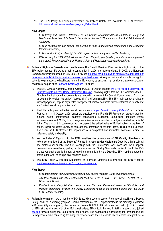The EFN Policy & Position Statements on Patient Safety are available on EFN Website: http://www.efnweb.eu/version1/en/pos\_stat\_Patient.html.

## *Next Steps:*

- *EFN Policy and Position Statements on the Council Recommendations on Patient Safety and Healthcare Associated Infections to be endorsed by the EFN members in the April 2009 General Assembly;*
- *EFN, in collaboration with Health First Europe, to keep up the political momentum in the European Parliament debates;*
- *EFN to work actively in the High Level Group on Patient Safety and Quality Standards;*
- *EFN to lobby the 2009 EU Presidencies, Czech Republic and Sweden, to endorse and implement the Council Recommendations on Patient Safety and Healthcare Associated Infections.*
- **Patients' Rights in Cross-border Healthcare** The "Health Services Directive" is a high priority in the EFN policy agenda. Following a public consultation in 2006 and several delays in 2007, the European Commission finally launched, in July 2008, a revised [proposal for a directive to facilitate the application of](http://ec.europa.eu/health/ph_overview/co_operation/healthcare/docs/COM_en.pdf)  Europea[n patients" rights in relation to cross](http://ec.europa.eu/health/ph_overview/co_operation/healthcare/docs/COM_en.pdf)-border healthcare, aiming to clarify and promote the right of patients to gain access to healthcare in another EU country by ensuring high quality and safe cross-border healthcare, as part of its [Renewed Social Agenda.](http://europa.eu/rapid/pressReleasesAction.do?reference=IP/08/1070&format=HTML&aged=0&language=EN&guiLanguage=en) As such:
	- The EFN General Assembly, held in October 2008, in Cyprus adopted the EFN Position Statement on Patients" Rights in Cross[-Border Healthcare Directive,](http://www.efnweb.eu/version1/en/pos_stat_Services.html) which highlights that the EFN welcomes the EU Directive, but that some improvements are needed to implement the Council Conclusions on Common Values and Principles: "solidarity", "accessibility" and "sustainability". The EFN main concerns relate to "upfront payment", "top-up payments", "independent point of contact to provide information to patients" and "patient sensitive qualitative data".
	- The EFN participated in the Ministerial Conference *"[Europe of Health: Serving Patients](http://www.eu2008.fr/PFUE/lang/en/accueil/PFUE-10_2008/PFUE-13.10.2008/conference__l_europe_de_la_sante_au_service_des_patients_)"*, held in Paris, France, on 13-14 October 2008, under the auspices of the French EU Presidency, brought together experts, health professionals, patients' associations, European Commission, Member States representatives and MEPs, to exchange experiences on a number of subjects related to patients' rights. The aim of this conference was to present the added value of EU-led action in the field of health, regarding safety, quality of care and the promotion of patients' rights. Taking part in a panel discussion the EFN stressed the importance of a competent and motivated workforce in order to safeguard safety and quality.
	- Next to Patients" Rights topic, the EFN considers the development of **EU Quality Standards**, in reference to article 5 of the **Patients' Rights in Cross-border Healthcare** Directive a high political and professional priority. The first meetings with the Commission took place and the European Commission is considering putting in place a project on Quality Standards, similar to the EUNetPaS project. Although there is the treat of watering down article 5 in the Directive, EFN members agreed to continue the work on this political sensitive issue.
	- The EFN Policy & Position Statements on Services Directive are available on EFN Website: [http://www.efnweb.eu/version1/en/pos\\_stat\\_Services.html](http://www.efnweb.eu/version1/en/pos_stat_Services.html)

#### *Next Steps:*

- *EFN amendments to the legislative proposal on Patients' Rights in Cross-border Healthcare;*
- *Alliances building with key stakeholders such as EPHA, EHMA, HOPE, CPME, AEMH, AEHP,*  UEMO and UEMS:
- *Provide input to the political discussions in the European Parliament based on EFN Policy and*  Position Statements of which the Quality Standards needs to be endorsed during the April 2009 *EFN General Assembly.*
- **Patient Information** As a member of DG Sanco High Level Group on Professional mobility and Patient Safety, and EMEA working group on Health Professionals, the EFN participated in the meetings organised in Brussels (High level group; Pharmaceutical Forum; BEUC; EPHA; etc.), and in London (EMEA). Based on EFN strong alliances with other EU stakeholders, EPHA took the lead in taking a strong and joined [position](http://www.efnweb.eu/version1/en/documents/EPHA_FINALPositionITP_7Apr08.pdf) forward during the Commission negotiations. The negotiations surrounding the "Pharmaceutical Package" were time consuming for many stakeholders and the EFN would like to express its gratitude to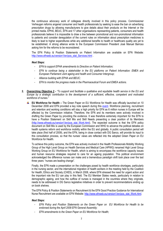the continuous advocacy work of collegeas directly involved in this policy process. Commissioner Verheugen reforms angered consumer and health professionals by seeking to ease the ban on advertising prescription drugs by allowing manufacturers to give details about their products on the Internet or the printed media. EPHA, BEUC, EFN and 17 other organisations representing patients, consumers and health professionals believe it is impossible to draw a line between promotional and non-promotional information to patients and consider deregulation of the current rules on information about prescription medicines is likely to lead to higher expenditures while any additional benefits to health or healthcare quality are yet to be established. A strong alliance wrote to the European Commission President José Manuel Barroso asking him for the reforms to be reconsidered.

The EFN Policy & Position Statements on Patient Information are available on EFN Website: [http://www.efnweb.eu/version1/en/pos\\_stat\\_Services.html](http://www.efnweb.eu/version1/en/pos_stat_Services.html) .

## *Next Steps:*

- *EFN to support EPHA amendments to Directive on Patient Information;*
- *EFN to continue being a stakeholder in the EU platforms on Patient Information: EMEA and European Parliament Joint ageing and health and Consumer Intergroup;*
- *Alliance building with EPHA and BEUC;*
- *EFN to monitor the progress made in the Pharmaceutical Forum and EMEA actions.*
- **2. Overarching Objective 2 -** *"To support and facilitate a qualitative and equitable health service in the EU and Europe by a strategic contribution to the development of a sufficient, effective, competent and motivated workforce of nurses."*
	- **EU Workforce for Health –** The Green Paper on EU Workforce for Health was officially launched on 10 December 2008 and EFN provided a key note speech during this [event.](http://ec.europa.eu/health/ph_overview/workforce/program_en.htm) Workforce planning, recruitment and retention and working conditions will stay a high priority for EFN as 6 million nurses in Europe will be affected by the Commission initiative. Therefore, the EFN and its members were actively involved in drafting the Green Paper by providing the evidence. It was therefore extremely important for the EFN to have a Position Statement on Skill Mix and Skill Needs presenting a clear position of its Members [\(http://www.efnweb.eu/version1/en/pos\\_stat\\_Work.html\)](http://www.efnweb.eu/version1/en/pos_stat_Work.html). The expected outcome is that the EFN policy document on Skill Mix is used by the European Commission and WHO to advance the political debates on health systems reform and workforce mobility within the EU and globally. A public consultation period will take place (first half of 2009), and the EFN, being in close contact with DG Sanco, will provide its input to this consultation process, so that the nurses' views are reflected into the adopted Green Paper on EU Workforce for Health.

To achieve this policy outcome, the EFN was actively involved in the Health Professionals Mobility Working Group of the High Level Group on Health Services and Medical Care (HPWG) renamed High Level Group Working Group on EU Workforce for Health, which is aiming to encompass the workforce capacity issues and human resource strategies required to care for an ageing population. This political environment acknowledged the difference nurses can make and a tremendous paradigm shift took place over the last three years: "nurses are leading change".

Finally, the EFN made a presentation on the challenges posed by health workforce shortages, particularly in the nursing sector, and the international migration of health workers in the meeting held by the Coalition for Health, Ethics and Society (CHES), in March 2008, where EFN stressed the need for urgent action and the important role the EU can play in this field. The EU Member States needs, particularly in relation to demographic ageing, and how the outflow of nurses is managed in the countries where they originate, needs to be addressed in DG Sanco legislative initiatives in order to prevent recommendations ending up on book shelves.

The EFN Policy & Position Statements on Recruitment & the EFN Good Practice Guidance for International Nurse Recruitment are available on EFN Website: [http://www.efnweb.eu/version1/en/pos\\_stat\\_Work.html.](http://www.efnweb.eu/version1/en/pos_stat_Work.html) 

# *Next Steps:*

- *EFN Policy and Position Statements on the Green Paper on EU Workforce for Health to be endorsed during the April 2009 EFN General Assembly;*
- *EFN amendments to the Green Paper on EU Workforce for Health;*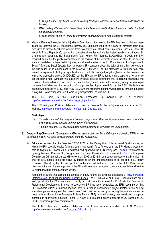- *EFN input to the High Level Group on Mobility leading to optimal Council of Ministers decisions on Mobility;*
- *EFN building alliances with stakeholders in the European Health Policy Forum and taking the lead on workforce planning.*
- *EFN as advisor to the 7th Framework Program approved mobility and forecasting projects.*
- **Medical Devices / Needlesticks Injuries –** Over the last four years, the EFN has been active on these issues by lobbying the EU Institutions (namely DG Enterprise lead on this item) to introduce legislative measures to protect healthcare workers from potentially fatal blood borne infections, such as HIV/AIDS, Hepatitis B and Hepatitis C, caused by occupational injuries with contaminated needles, and through its alliances with other key EU Stakeholders (e.g.: Health First Europe, EUCOMED). In 2008, the EFN provided its input to the public consultation on the revision of the Medical Devices Directive, to the second stage consultation on Needlestick injuries, and drafted a letter to the EU Commissioner for Employment, Social Affairs and Equal Opportunities, to express EFN concerns about the delay of more than two years in the publication of an amendment to the Directive 2000/54/EC, on the protection of workers from risks related to exposure to biological agents at work. The EFN managed to get a glance on the Commission legislative proposal to amend 2000/54/EC, but the EFN partner EPSU found it more opportune not to follow this legislative road. Although the legislative initiative covered eliminating the re-capping of needles, the provision of safety devices, disposal of devices, involving health care staff in selecting safety devices, rapid post-event activities and the recording of sharps injuries, topics asked for by the EFN, this legislative attempt was blocked by EPSU and HOSPEEM with the argument that they would first try through the social dialog. MEPs champions for Health were very disappointed, as was the EFN.

The EFN input to the Consultation Processes is available on EFN Website: http://www.efnweb.eu/version1/en/networks\_eu\_input.html.

The EFN Policy and Position Statements on Medical Devices & Sharps Injuries are available on EFN Website[: http://www.efnweb.eu/version1/en/pos\\_stat\\_Devices.html.](http://www.efnweb.eu/version1/en/pos_stat_Devices.html)

## *Next Steps:*

- *To make sure that the European Commission proposed Directive is taken forward and provide the evidence to social partners of the urgency of this matter;*
- *To make sure that EU policies on safe working conditions for nurses are implemented.*
- **3. Overarching Objective 3 -** *"Strengthening EFN representation in the EU and Europe and develop EFN key role as bridge between NNA and decision-makers in the EU institutions."* 
	- **Education –** Now that the Directive 2005/36/EC on the Recognition of Professional Qualifications, for which the EFN strongly lobbied for many years, has been in force for one year, the EFN General Assembly held in Cyprus in October 2008, discussed and approved the EFN [Policy](http://www.efnweb.eu/version1/en/documents/EFNPolicyStatementonSynergyMRPQ-Bologna-EQF-EN-final102008.doc) and [Position](http://www.efnweb.eu/version1/en/documents/EFNPositionStatementonSynergyMRPQ-Bologna-EQF-EN-final102008.doc) Statements on Synergy between Directive 36, Bologna, and European Qualifications Framework (EQF). The European Commission DG Internal Market will review from 2009 to 2012, in comitology procedure, the Directive 36, and the EFN needs to be pro-active by focussing on the implementation of its position in EU policy processes. Therefore, the EFN set up EFN members" expert platforms to discuss the TAIEX Peer Review missions in the ongoing enlargement of the EU and the nursing education curricula accreditation within the 27 Member States of the European Union.

Furthermore, taking into account the complexity of any reform, the EFN has developed a [Policy & Position](http://www.efnweb.eu/version1/en/pos_stat_Structural_Funds.html)  [Statements on Structural and Social Cohesion Funds.](http://www.efnweb.eu/version1/en/pos_stat_Structural_Funds.html) The EU Structural and Social Cohesion funds are a real opportunity for EFN members to apply at national/regional level for EU funds for Continuous Professional Development. In order to strengthen EFN members" synergies, the EFN recommends that EFN members submit at national/regional level "a minimum denominator" project related to the nursing education, patient safety and the prevention of "brain drain" of nurses by increasing the salary of nurses. In close collaboration with the European Patients Forum (EPF), a joined strategy was developed to support members in applying for Structural Funds. EFN and EPF met the high level officials of DG Sanco and DG REGIO to achieve political commitment.

The EFN Policy and Position Statements on Education are available on EFN Website: http://www.efnweb.eu/version1/en/pos\_stat\_Education.html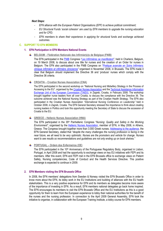#### *Next Steps:*

- *EFN alliance with the European Patient Organisations (EPF) to achieve political commitment;*
- *EU Structural Funds "social cohesion" are used by EFN members to upgrade the nursing education and for CPD;*
- *EFN members to share their experience in applying for structural funds and exchange achieved outcomes.*

## **C. SUPPORT TO EFN MEMBERS**

- **1. EFN Participation in EFN Members National Events**
	- **BELGIUM – Fédération Nationale des Infirmier(e)s de Belgique (FNIB)** all the

The EFN participated in the [FNIB](http://www.fnib.be/) Congress "*[Les Infirmières se manifèstent](http://www.fnib.be/index.php?action=article&numero=92)"*, held in Charleroi, Belgium, on 19 March 2008, to discuss about one title for nurses and the creation of an Order for nurses in Belgium. The EFN also participated in the FNIB Congress on "*[Pratique avancée en Soins Infirmiers:](http://www.fnib.be/index.php?action=agenda&subaction=evenement&eve=49737)  [clinique infirmière et infirmière clinicienne](http://www.fnib.be/index.php?action=agenda&subaction=evenement&eve=49737)"* organised in November 2008, in Brussels. The EFN made it clear that Belgium should implement the Directive 36 and "produce" nurses which comply with the Directive 36 criteria.

**CROATIA – Croatian Nurses Association (CNA)**

The EFN participated in the second workshop on "National Nursing and Midwifery Strategy in the Process of Accessing to the EU", organised by the [Croatian Nurses Association](http://www.hums.hr/) and the [Technical Assistance Information](http://taiex.ec.europa.eu/)  [Exchange Unit of the European Commission \(TAIEX\),](http://taiex.ec.europa.eu/) in Zagreb, Croatia, in February 2008. The workshop brought together nurse leaders from all over Croatia, to discuss the compliance with the Directive 36. The outcome achieved was the National Nursing Strategy as part of the Croatian Health Strategy. The EFN also participated in the Croatian Nurses Association *"International Nursing Conference on Leadership"* held in October 2008, in Zagreb, Croatia. The EFN General Secretary stressed the importance to think about creating nursing leaders in Politics and took this opportunity meeting the Secretary of State to discuss the accession of Croatia to the EU.

**GREECE – Hellenic Nurses Association (HNA)**

The EFN participated in the 35th Panhellenic Congress "*Nursing: Quality and Safety in the Working Environment"*, organised by the [Hellenic Nurses Association,](http://www.esne.gr/) member of EFN, in May 2008, in Athens, Greece. The Congress brought together more than 3.000 Greek nurses. [Addressing to the audience,](http://www.efnweb.eu/version1/en/networks_speeches.html) the EFN General Secretary, stated that *"despite the many challenges the nursing profession is facing in the near future, we all need to be very optimistic. Nurses are the promoters and vehicle for change. Nurses want to see results so recommendations and guidelines are not only ending up on book shelves."*

**PORTUGAL – Ordem dos Enfermeiros (OE)**

The EFN participated in the  $10<sup>th</sup>$  Anniversary of the Portuguese Regulatory Body, organised in Lisbon, Portugal, in April 2008 and had the opportunity to exchange views on key EU initiatives with FEPI and its members. After this event, EFN and FEPI met in the EFN Brussels office to exchange views on Patient Safety, Nursing competencies, Code of Conduct and the Health Services Directive. This positive exchange is expected to continue in 2009.

# **2. EFN Members visiting the EFN Brussels Office**

In 2008, the EFN members' delegations from Sweden & Norway visited the EFN Brussels Office in order to know more about the EFN, its lobby work in the EU Institutions and building of alliances with the EU health stakeholders. This is a very positive experience for EFN and its members as delegates become more aware of the importance of investing in EFN. As a result, EFN members national delegates go back home inspired. The EFN encourages its members to visit the EFN Brussels Office and the EU Institutions as this is a good opportunity for them to learn from the European experience to lobby their national authorities for the benefit of the nurses and the nursing profession. In connection to the April 2009 General Assembly, EFN took the initiative to organise, in collaboration with the European Training Institute, a lobby course for EFN members.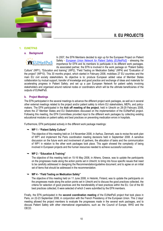



# **1. EUNETPAS**

**a. Background**



In 2007, the EFN Members decided to sign up for the European Project on Patient Safety - *[European Union Network for Patient Safety \(EUNetPaS\)](http://www.eunetpas.eu/)* - stressing the importance for EFN and its members to participate in its different work packages. As associated partner, the EFN is involved in the work package on "Patient Safety

Culture" (WP1), "Education and training" (WP2), "Field Testing on Medication Safety" (WP4) and "Evaluation of the project" (WP10). This 30 months project, which started in February 2008, mobilises 27 EU countries and the main EU civil society stakeholders. Its objective is to: produce European added value of Member States collaboration by mutual support, transfer of knowledge and good practice and exchange of ideas and materials for accelerating progress in Patient Safety; and set up a pan European Network for patient safety involving stakeholders and organised around national nodes or coordinators which will be the ultimate beneficiaries of the outputs of EUNetPaS.

#### **b. Project Meetings**

The EFN participated in the several meetings to advance the different project work packages, as well as in several other external meetings related to the project and/or patient safety to inform EU stakeholders, MEPs, and policymakers. The EFN participated in the **kick off meeting of the project**, held in Utrecht on 28-29 February 2008, where the 27 Member States and EU Stakeholders discussed on the implementation of the EUNetPaS project. Following this meeting, the EFN Committees provided input to the different work packages by collecting existing educational modules on patient safety and best practices on preventing medication errors in hospitals.

Furthermore, EFN participated actively in the different work package meetings:

#### **WP 1 - "Patient Safety Culture"**

The objective of this meeting held on 3-4 November 2008, in Aarhus, Denmark, was to revise the work plan of WP1 and implement the Paris coordination meeting decisions held in September 2008. A sensitive discussion on the future work and involvement of partners, the allocation of tasks and the communication of WP1 in relation to the other work packages took place. This again showed the complexity of being involved in European projects and the human resources needed to achieve successful outcomes.

# **WP 2 - "Education & Training"**

The objective of this meeting held on 15-16 May 2008, in Athens, Greece, was to update the participants on the progresses made along the action points set in Utrecht; to bring into focus specific issues that need to be carefully addressed in designing the Recommendation/guideline document; and to agree on an initial set of items that should be addressed in the recommendation.

#### **WP 4 - "Field Testing on Medication Safety"**

The objective of this meeting held on 11 June 2008, in Helsinki, Finland, was to update the participants on the progresses made along the action points set in Utrecht and to discuss the good practices collected, the criteria for selection of good practices and the transferability of best practices within the EU. Out of the 90 best practices collected, 6 were selected of which 3 were submitted by the EFN members.

Finally, the EFN participated in the **second coordination meeting** of the EUNetPaS project that took place in Paris, on 22-23 September 2008, in conjunction with the French Presidency of the European Union. This 2 days" meeting allowed the project members to evaluate the progresses made in the several work packages, and to discuss Patient Safety with other international organisations, such as: the Council of Europe, WHO and the OECD.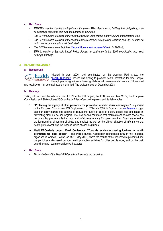# **c. Next Steps**

- *EFN/EFN members" active participation in the project Work Packages by fulfilling their obligations, such as collecting requested data and good practices examples;*
- *The EFN Members to collect further best practices in using Patient Safety Culture measurement tools;*
- *The EFN Members to collect further best practices examples on education curricula and CPD courses on which the recommendations will be drafted.*
- *The EFN Members to contact their [National Government representative](http://www.efnweb.eu/version1/en/documents/EUNetPaSNationalContactPoints.doc) in EUNetPaS;*
- *EFN to employ a Brussels based Policy Advisor to participate in the 2009 coordination and work package meetings.*

# **2. HEALTHPROELDERLY**

#### **a. Background**

Initiated in April 2006, and coordinated by the Austrian Red Cross, the health "[healthPROelderly](http://www.healthproelderly.com/)" project was aiming to promote health promotion for older people elderly through producing evidence based guidelines with recommendations - at EU, national

and local levels - for potential actors in this field. The project ended on December 2008.

#### **b. Meetings**

**PRO** 

Taking into account the advisory role of EFN in this EU Project, the EFN informed key MEPs, the European Commission and Stakeholders/NGOs active in Elderly Care on the project and its deliverables:

- **"Protecting the dignity of older persons - the prevention of elder abuse and neglect" -** organised by the European Commission (DG Employment), on 17 March 2008, in Brussels, this [conference](http://ec.europa.eu/employment_social/spsi/elder_abuse_en.htm) brought together policy makers and experts to discuss the quality of care for elderly people and pool ideas on preventing elder abuse and neglect. The discussions confirmed that maltreatment of older people has become a big problem, affecting thousands of citizens in many European countries. Speakers looked at the legal/criminal dimension of abuse and neglect, as well as the difficult situation of informal carers, health professional, and the responsibilities of care institutions.
- **HealthPROelderly project Final Conference "Towards evidence-based guidelines in health promotion for older people" -** The Polish Nurses Association represented EFN in this meeting, organised in Warsaw, Poland, on 15-16 May 2008, where the results of the project were presented and the participants discussed on how health promotion activities for older people work, and on the draft guidelines and recommendations with experts.

# **c. Next Steps**

- *Dissemination of the HealthPROelderly evidence-based guidelines.*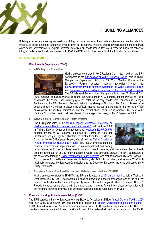

# **III. BUILDING ALLIANCES**

Building alliances and creating partnerships with key organisations to work on particular issues are very important for the EFN as this is a mean to strengthen civil society in policy-making. The EFN organised/participated in meetings with other health professionals to explore common synergies on health issues that could form the basis for collective lobbying under agreed position statements. In 2008, the EFN was in close contact with the following organisations:

# **A. EFN OBSERVERS**

# **1. World Health Organisation (WHO)**

**a. WHO Regional Committee** 



Having an observer status in WHO Regional Committee meetings, the EFN participated in the 58<sup>th</sup> [session of WHO European Region,](http://www.euro.who.int/rc) held in Tbilisi, Georgia, in September 2008. The 53 WHO Member States in the European Region adopted several resolutions, such as: Stewardship/governance of health systems in the WHO European Region: and [Behaviour change strategies and health: the role of health systems.](http://www.euro.who.int/document/rc58/rc58_eres08.pdf) The EFN General Secretary took this opportunity to meet Mr. Manuel Darit

(WHO Geneva) to discuss Workforce issues, the ICN Georgian NNA member, and the Minister of Health to discuss the World Bank future project on establish primary health care education in Georgia. Furthermore, the EFN Secretary General met with the Georgian First Lady, Ms. Sandra Roelofs (who became recently a nurse) to discuss the difficult situation nurses are working in, the low salary (100 euro/month), the medical domination, and the sexual abuse of nurses in practice. The next WHO Regional Committee meeting will take place in Copenhagen, Denmark, on 14-17 September 2009.

**b. WHO Ministerial Conference on Health Systems**

The EFN participated in the [WHO European Ministerial Conference on](http://www.euro.who.int/healthsystems2008)  [Health Systems "Health Systems, Health and Wealth"](http://www.euro.who.int/healthsystems2008), held in June 2008, in Tallinn, Estonia. Organised in response to [resolution EUR/RC55/R8](http://www.euro.who.int/Governance/resolutions/2005/20050920_2) adopted by the WHO Regional Committee for Europe in 2005, the Conference brought together Ministers of Health from the 53 Member States in the WHO European Region, who signed the [Tallinn Charter on](http://www.euro.who.int/document/HSM/6_hsc08_edoc06.pdf)  ["Health Systems for Health and Wealth"](http://www.euro.who.int/document/HSM/6_hsc08_edoc06.pdf), and health systems partners, experts, observers and representatives of international and civil society



organisations, to discuss a different way to approach health systems, and how well-functioning health systems contribute not only to health but also to wealth and economic growth. The EFN contributed to the conference through [a Policy Statement on Health Systems,](http://www.efnweb.eu/version1/en/documents/FINALEFNPolicyStatementonHealthSystemsWHOSummitJune2008.doc) and took this opportunity to talk to the EU Commissioner for Health and Consumer Protection, Ms. Androulla Vassiliou, and to lobby WHO high level policy-makers, the European Commission and the Council of Europe on the issue addressed in the Policy Statement.

**c. European Forum of National Nursing and Midwifery Associations (EFNNMA)**

Having an observer status in EFNNMA, the EFN participated in its  $12<sup>th</sup>$  [annual meeting,](http://www.euro.who.int/efnnma/meetings/20080428_1) held in Tashkent, Uzbekistan, in July 2008. The meeting focussed on stewardship and its challenges, one of the four key functions of health systems and a key priority area of the WHO Regional Office for Europe. The EFN President was extremely please with the outcome and is looking forward to a closer collaboration with the Forum to advance jointly EU and European policies effecting nurses and midwives.

# **2. European Nursing Students Association (ENSA)**

The EFN participated in the European Nursing Students Association (ENSA) [Annual General Meeting 2008](https://www.rcn.org.uk/development/students/events2/european_nursing_students_association_ensa_agm_2008) held July 2008, in Edinburgh, UK, and provided a speech on "[Bologna Agreement and Student Futures](http://www.efnweb.eu/version1/en/documents/PDRspeechENSAEdingburgJuly2008Bologna.pdf)". ENSA decided to focus on "representation", an item in which EFN members play a crucial role. The EFN members were encouraged to send a student, part of the national student organisation, into the ENSA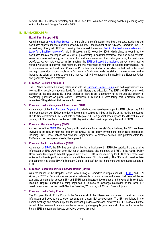network. The EFN General Secretary and ENSA Executive Committee are working closely in preparing lobby actions for the next Bologna Summit in 2009.

# **B. EU STAKEHOLDERS**

#### **1. Health First Europe (HFE)**

As full member of [Health First Europe](http://www.healthfirsteurope.org/) - a non-profit alliance of patients, healthcare workers, academics and healthcare experts and the medical technology industry - and member of the Advisory Committee, the EFN worked very closely with HFE in organising the successful event on "[Tackling the healthcare challenges of](http://www.newsviamail.eu/HEF/programme.html)  [today for a healthier tomorrow](http://www.newsviamail.eu/HEF/programme.html)", held in Brussels, on 12 November 2008, which aimed at examining the healthcare today's challenges with a view to guaranteeing a healthier tomorrow, and discussing patients' views on access and safety, innovation in the healthcare sector and the challenges facing the healthcare workforce. As key note speaker in this meeting, the [EFN addressed the audience](http://www.efnweb.eu/version1/en/EFNHFEWorkforce-final.pdf.pdf) on key topics: ageing nursing workforce, recruitment and retention, and the importance of research to support policy-making. The EU Commissioner for Health and Consumer Protection, Ms. Androulla Vassiliou, replied that professional nursing organisations should apply more for structural funds to upgrade the status of nurses, women and to increase the salary of nurses as economic motives mainly drive nurses to be mobile in the European Union and globally to achieve a better life.

## **2. European Patients' Forum (EPF)**

The EFN has developed a strong relationship with the **European Patients' Forum** and both organisations are now working closely on structural funds for health literary and education. The EPF and EFN closely work together on the challenging EUNetPaS project as there is still a tendency not to include civil society in developing guidelines on patient safety. Furthermore, EFN and EPF were taking part in different panels where key EU legislative initiatives were discussed.

#### **3. European Health Management Association (EHMA)**

As a member of this [Pan European](http://www.ehma.org/) Organisation, which actions have been supporting EFN policies, the EFN is in close contact with EHMA in order to develop joint strategies linked to the EU policy-making processes. Due to time constraints, EFN is not able to participate in EHMA general assembly and the different interest groups, but EFN members, member of EPHA play an important role in supporting the work of EHMA.

## **4. European Medicines Agency (EMEA)**

As member of the [EMEA](http://www.emea.europa.eu/) Working Group with Healthcare Professionals' Organisations, the EFN has been involved in the regular meetings held by the EMEA. In this policy environment, health care professions, including ESNO, meet patient and consumer organisations to advance policies. This platform within the EMEA is a good example of stakeholder approach.

#### **5. European Public Health Alliance (EPHA)**

As member of **EPHA**, the EFN has been strengthening its involvement in EPHA by participating and sharing information on EFN work with other EU health stakeholders, also members of EPHA, in the regular Policy Coordination Meetings (PCMs) taking place in Brussels. EPHA is considered by the EFN as one of the most active and influential platform for advocacy and influence on EU policymaking. The EFN would therefore take this opportunity to thank EPHA"s Secretary General and staff for their hard work and continuous support to EFN.

#### **6. European Federation of Public Service Unions (EPSU)**

With the launch of the Hospital Sector Social Dialogue Committee in September 2006, [EPSU](http://www.epsu.org/) and EFN signed, in 2007, a Declaration of cooperation between both organisations and agreed that there will be an exchange of information between EFN and EPSU about important developments in the Hospital Sector Social Dialogue. Regular meetings are being organised, in Brussels, to exchange information on the recent EU developments, such as the Health Services Directive, Workforce, skill Mix and Sharps Injuries.

# **7. European Health Policy Forum**

The European Health Policy Forum is the Forum in which the different sectors related to health exchange information and develop stakeholder positions on relevant EU developments. The EFN participate in the Forum meetings and provided input to the relevant questions addressed, however the EFN believes that the impact of the Forum outcomes should be increased by changing its governance structure. In the December Forum, EFN members participated actively to achieve this goal.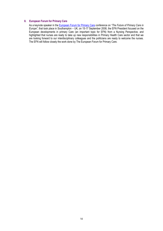# **8. European Forum for Primary Care**

As a keynote speaker in the [European Forum for Primary Care](http://www.euprimarycare.org/) conference on *"The Future of Primary Care in Europe"*, that took place in Southampton – UK, on 15-17 September 2008, the EFN President focused on the European developments in primary Care (an important topic for EFN) from a Nursing Perspective, and highlighted that nurses are ready to take up new responsibilities in Primary Health Care sector and that we are looking forward to our interdisciplinary colleagues and the politicians are ready to welcome the nurses. The EFN will follow closely the work done by The European Forum for Primary Care.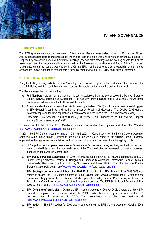

# **IV. EFN GOVERNANCE**

#### **1. EFN STRUCTURE**

The EFN governance structure composed of two annual General Assemblies, in which 30 National Nurses Associations meet to discuss and endorse key Policy and Position Statements, and to work on several EU projects, is supported by two annual Executive Committee meetings (and two extra meetings on the evening prior to the General Assemblies), and the recommendations formulated by the Professional, Workforce and Public Policy Committees taking place during the General Assemblies. In 2008, the EFN members decided also to establish national nurses' associations" expert platforms to prepare from a technical point of view the EFN Policy and Position Statements.

## **2. EFN GENERAL ASSEMBLY**

Being the EFN governing body the General Assembly meets two times a year, to discuss the important issues related to the EFN lobby work that can influence the nurses and the nursing profession at EU and National levels.

The General Assembly is constituted by:

- **Full Members -** drawn from the National Nurses" Associations from the twenty-seven EU Member States (+ Croatia, Norway, Iceland and Switzerland) – It was with great pleasure that in 2008 the EFN welcomed Romania as Full Member in the EFN General Assembly.
- **Associate Members -** European Specialist Nurses Organisation (ESNO) with one representative taking part in EFN General Assemblies; and the Former Yugoslav Republic of Macedonia (The October 2008 General Assembly approved the NNA application to become Associate Member in the EFN General Assemblies).
- **Observers -** International Council of Nurses (ICN); World Health Organisation (WHO); and the European Nursing Students Association (ENSA).

To view the full list of the EFN Members, updated on regular basis, please visit the EFN Website: [http://www.efnweb.eu/version1/en/about\\_members.html](http://www.efnweb.eu/version1/en/about_members.html)

In 2008, the EFN General Assembly met on 10-11 April 2008, in Copenhagen, for the Spring General Assembly organised by the Danish Nurses Organisation, and on 2-3 October 2008, in Cyprus, for the Autumn General Assembly, organised by the Cyprus Nurses and Midwives Association, to discuss and decide on the following key points:

- **a. EFN input to the European Commission Consultation Processes** Throughout the year, the EFN members were consulted internally to give input and to support the EFN contribution to the several consultation processes launched by the European Commission.
- **b. EFN Policy & Position Statements**  In 2008, the EFN members approved the following statements: Structural Funds; Synergy between Directive 36, Bologna and European Qualifications Framework; Patients" Rights in Cross-Border Healthcare Directive; Skill Mix, Skill Needs and Tasks Shifting. The EFN Policy & Position Statements are available at: http://www.efnweb.eu/version1/en/core\_pstatement.html.
- **c. EFN Strategic and operational lobby plan 2009-2013** As the first EFN Strategic Plan 2003-2008 was coming to an end, the EFN Members approved in the October 2008 General Assembly the EFN strategic and operational lobby plan for the next 5 years which is pro-active and guides the Professional, Workforce and Public Policy Committees' work as set out in their yearly work plan. The EFN Strategic and Operational Plan 2009-2013 is available at[: http://www.efnweb.eu/version1/en/core.html.](http://www.efnweb.eu/version1/en/core.html)
- **d. EFN Committees' Work plan** During the EFN General Assembly, October 2008, Cyprus, the three EFN Committees approved their respective Work Plan 2009, which reflects the key points on which the EFN members need to work on in 2009. The Committee's work plans are available at: [http://www.efnweb.eu/version1/en/core\\_businessplan.html.](http://www.efnweb.eu/version1/en/core_businessplan.html)
- **e. EFN budget** The EFN budget for 2009 was endorsed during the EFN General Assembly, October 2008, Cyprus.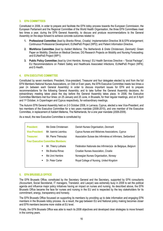# **3. EFN COMMITTEES**

Constituted in 2006, in order to prepare and facilitate the EFN lobby process towards the European Commission, the European Parliament and the Regional Committee of the World Health Organisation, the three EFN Committees meet two times a year, during the EFN General Assembly, to discuss and produce recommendations to the General Assembly on the steps forward to achieve concrete outcomes related to:

- **1. Professional Committee** *(lead by Branka Rimac, Croatia)*: Implementation Directive 36 & EFN enlargement; Continuous Professional Development; EUNetPaS Project (WP2); and Patient Information Directive.
- **2. Workforce Committee** *(lead by Aaldert Mellema, The Netherlands & Grete Christensen, Denmark)*: Green Paper on Mobility; Directive on Medical Devices; DG Research Projects on Mobility and Nursing Forecasting; and EUNetPaS Project (WP1).
- **3. Public Policy Committee** *(lead by Unni Hembre, Norway)*: EU Health Services Directive "Social Package"; EU Recommendations on Patient Safety and Healthcare Associated Infections; EUNetPaS Project (WP4); and E-Health.

# **4. EFN EXECUTIVE COMMITTEE**

Constituted by seven members: President, Vice-president, Treasurer and four delegates elected by and from the full EFN Members National Nurses Associations, on Odd or Even years, the EFN Executive Committee meets two times a year (in between each General Assembly) in order to discuss important issues for EFN and to prepare recommendations for the following General Assembly; and to take further the General Assembly decisions. An extraordinary meeting takes place the day before the General Assembly takes place. In 2008, the Executive Committee Members met four times: on 25 January and 20 June, in Brussels, for their regular meetings, and on 9 April and 1st October, in Copenhagen and Cyprus respectively, for extraordinary meetings.

The Autumn EFN General Assembly held on 2-3 October 2008, in Larnaca, Cyprus, elected a new Vice-President, and two members of the Executive Committee for a two years mandate (2008-2010), and one member of the Executive Committee, in replacement of Aaldert Mellema, The Netherlands, for a one year mandate (2008-2009).

As a result, the new Executive Committee is constituted by:

| <b>President:</b><br><b>Vice-President:</b><br>Treasurer: | Ms Grete Christensen<br>Mr. Ioannis Leontiou<br>Mr. Pierre Théraulaz<br><b>Four Executive Committee Members:</b> | Danish Nurses Organisation, Denmark<br>Cyprus Nurses and Midwives Associations, Cyprus<br>Association Suisse des Infirmières et Infirmiers, Switzerland |  |  |  |
|-----------------------------------------------------------|------------------------------------------------------------------------------------------------------------------|---------------------------------------------------------------------------------------------------------------------------------------------------------|--|--|--|
| ٠                                                         | Mr. Thierry Lothaire                                                                                             | Fédération Nationale des Infirmier(e)s de Belgique, Belgium                                                                                             |  |  |  |
| ٠                                                         | Ms Branka Rimac                                                                                                  | Croatian Nurses Association, Croatia                                                                                                                    |  |  |  |
| ٠                                                         | Ms Unni Hembre                                                                                                   | Norwegian Nurses Organisation, Norway                                                                                                                   |  |  |  |
| $\blacksquare$                                            | Dr. Peter Carter                                                                                                 | Royal College of Nursing, United Kingdom                                                                                                                |  |  |  |

# **5. EFN BRUSSELS OFFICE**

The EFN Brussels Office, constituted by the Secretary General and the Secretary, supported by EFN consultants (Accountant, Social Secretariat, IT managers, Translator, and Lawyer) was extremely busy in 2008 to set the political agenda and influence major policy initiatives having an impact on nurses and nursing. As described above, the EFN Brussels Office became the face for nurses and nursing in the EU and is respected by the key stakeholders for its commitment, energy, transparency and honesty.

The EFN Brussels Office focussed on supporting its members by providing up to date information and engaging EFN members in the Brussels lobby process. As a result, the gap between EU and National policy making becomes closer and EFN members become more visible at EU level.

Finally, the EFN Brussels Office was able to reach its 2008 objectives and developed clear strategies to move forward in the coming years.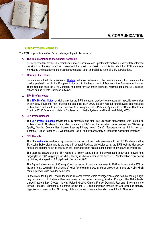

# **V. COMMUNICATION**

## **1. SUPPORT TO EFN MEMBERS**

The EFN supports its member Organisations, with particular focus on:

#### **a. The documentation to the General Assembly**

It is very important for the EFN members to receive accurate and updated information in order to take informed decisions on the key issues for nurses and the nursing profession, as it is important that EFN members' knowledge and experience are shared amongst each other and with key national & EU stakeholders.

#### **b. Monthly EFN Update**

Once a month, the EFN publishes an **[Update](http://www.efnweb.org/version1/en/networks_updates.html)** that makes reference to the main information for nurses and the nursing profession within the European Union and to the key issues to influence in the European Institutions. These Updates keep the EFN Members, and other key EU health alliances, informed about the EFN policies, actions and up-to-date European initiatives.

#### **c. EFN Briefing Notes**

The **[EFN Briefing Notes](http://www.efnweb.org/version1/en/networks_briefingnotes.php)**, available only for the EFN members, provide the members with specific information on key lobby issues that may influence national policies. In 2008, the EFN has published several Briefing Notes on key items such as: Education (Directive 36 - Bologna - EQF); Patients' Rights in Cross-Border Healthcare Directive; WHO European Ministerial Conference on Health Systems; and Health and Safety at Work.

#### **d. EFN Press Releases**

The **[EFN Press Releases](http://www.efnweb.org/version1/en/networks_press.html)** provide the EFN members, and other key EU health stakeholders, with information on key issues EFN believe it is important to share. In 2008, the EFN published Press Releases on: "Delivering Quality, Serving Communities: Nurses Leading Primary Health Care", "European nurses fighting for pay increase", "Green Paper on EU Workforce for Health" and "Patient Safety & Healthcare Associated infections".

# **e. EFN Website**

The **[EFN website](http://www.efnweb.eu/)** is used as a key communication tool to disseminate information to the EFN Members and the EU Health Stakeholders and to the public in general. Updated on regular basis, the EFN Website Homepage reflects the ongoing activities of EFN on the important issues related to the nurses and the nursing profession.

The statistics shows that the EFN website is highly consulted as the downloaded documents moved from megabytes in 2007 to gigabytes in 2008. The figures below describe the trend of EFN information downloaded by visitors, with a peak of 4.4 gigabyte in September 2008.

The Figure 1 shows up to 1.990 'unique' visitors per month which is compared to 2007 an increase with 65% on the year total. Logically, the amount of visits  $(3<sup>rd</sup>$  column) shows a higher amount but these are visits which contain periodic visits from the same user.

Furthermore, the Figure 2 shows the measurements of from where average visits come from by country origin: Belgium (as most EU stakeholders are based in Brussels), Germany, Austria, Portugal, The Netherlands, United Kingdom, Italy, Croatia, Norway, Poland, Greece, Cyprus, France, Denmark, Romania, Estonia and the Slovak Republic. Furthermore, as shown below, the EFN communication through the web becomes globally. Organisations based in the US, Turkey, Chile and Japan, to name a few, also consult the EFN website.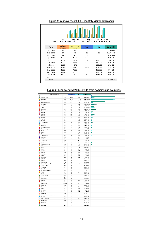| Mar<br>Apr<br>May<br>Jul<br>Sep<br>Feb<br>Jun<br>Aug<br>Oct<br>Nov<br>Dec<br>Jan.<br>2008 |                    |                     |       |             |                  |  |
|-------------------------------------------------------------------------------------------|--------------------|---------------------|-------|-------------|------------------|--|
| Month                                                                                     | Unique<br>visitors | Number of<br>visits | Pages | <b>Hits</b> | <b>Bandwidth</b> |  |
| Jan 2008                                                                                  | 62                 | 82                  | 250   | 773         | 11.97 MB         |  |
| Feb 2008                                                                                  | 37                 | 48                  | 91    | 91          | 811.74 KB        |  |
| Mar 2008                                                                                  | 27                 | 45                  | 124   | 523         | 12.31 MB         |  |
| Apr 2008                                                                                  | 1302               | 1836                | 7508  | 91874       | 2.39 GB          |  |
| May 2008                                                                                  | 1562               | 2231                | 8976  | 112589      | 2.80 GB          |  |
| Jun 2008                                                                                  | 1990               | 5534                | 14071 | 140273      | 3.26 GB          |  |
| Jul 2008                                                                                  | 1667               | 4571                | 10243 | 125183      | 2.71 GB          |  |
| Aug 2008                                                                                  | 1326               | 3774                | 8675  | 107351      | 2.29 GB          |  |
| Sep 2008                                                                                  | 1582               | 4522                | 16665 | 179738      | 4.04 GB          |  |
| Oct 2008                                                                                  | 1749               | 4603                | 11933 | 174059      | 3.80 GB          |  |
| Nov 2008                                                                                  | 1435               | 3450                | 8470  | 141431      | 3.12 GB          |  |
| Dec 2008                                                                                  | 0                  | 0                   | 0     | 0           | 0                |  |
| Total                                                                                     | 12739              | 30696               | 87006 | 1073885     | 24.43 GB         |  |

# **Figure 1: Year overview 2008 – monthly visitor downloads**

**Figure 2: Year overview 2008 – visits from domains and countries**

|                       | Domeinen/Landen             |         | Pagina's<br>Hits<br>Bytes          |                         |           |  |  |  |
|-----------------------|-----------------------------|---------|------------------------------------|-------------------------|-----------|--|--|--|
|                       |                             |         |                                    |                         |           |  |  |  |
|                       | Onbekend                    | ip      | 2067                               | 27285                   | 644.64 MB |  |  |  |
| ۵                     | Commercial                  | com     | 1691                               | 5569                    | 208.64 MB |  |  |  |
| П                     | Belgium                     | be      | 1475                               | 38054                   | 596.33 MB |  |  |  |
| ٠                     | Network                     | net     | 857                                | 13847                   | 377.20 MB |  |  |  |
| 臩                     | United Kingdom              | uk      | 252                                | 3416                    | 63.26 MB  |  |  |  |
|                       | Germany                     | de      | 188                                | 5640                    | 152.36 MB |  |  |  |
|                       |                             |         |                                    |                         |           |  |  |  |
|                       | Austria                     | at      | 169                                | 3997                    | 84.94 MB  |  |  |  |
| П                     | Italy                       | it      | 164                                | 5772                    | 153.86 MB |  |  |  |
| 家                     | Portugal                    | pt      | 162                                | 5243                    | 142.54 MB |  |  |  |
|                       | Netherlands                 | пI      | 142                                | 4341                    | 66.93 MB  |  |  |  |
| Ī                     | Croatia                     | hr      | 128                                | 1329                    | 30.61 MB  |  |  |  |
| ₩                     | Norway                      |         | 119                                | 3947                    | 96.91 MB  |  |  |  |
|                       |                             | no      |                                    |                         |           |  |  |  |
|                       | Poland                      | pl      | 105                                | 2572                    | 71.13 MB  |  |  |  |
| ≧                     | Greece                      | gr      | 93                                 | 2452                    | 63.03 MB  |  |  |  |
| e                     | Cyprus                      | cy      | 89                                 | 1963                    | 16.89 MB  |  |  |  |
| П                     | France                      | fr      | 84                                 | 1819                    | 57.55 MB  |  |  |  |
|                       | International               | int     | 76                                 | 1870                    | 59.67 MB  |  |  |  |
| ÷                     | Sweden                      |         | 60                                 | 431                     | 13.04 MB  |  |  |  |
|                       |                             | se      |                                    |                         |           |  |  |  |
| П                     | Romania                     | ro      | 53                                 | 1521                    | 24.03 MB  |  |  |  |
| ø.                    | Slovak Republic             | sk      | 51                                 | 1140                    | 19.38 MB  |  |  |  |
|                       | Luxembourg                  | lu      | 40                                 | 158                     | 2.51 MB   |  |  |  |
| Ξ                     | Estonia                     | ee      | 36                                 | 1076                    | 25.69 MB  |  |  |  |
| ÷                     | Denmark                     | dk      | 35                                 | 1522                    | 27.55 MB  |  |  |  |
|                       | Finland                     | fi      | 34                                 | 342                     | 10.47 MB  |  |  |  |
|                       |                             |         |                                    |                         |           |  |  |  |
| ÷                     | Switzerland                 | ch      | 30                                 | 1023                    | 28.13 MB  |  |  |  |
| ۴.                    | Australia                   | au      | 28                                 | 199                     | 4.35 MB   |  |  |  |
| ÷                     | Iceland                     | is      | 27                                 | 95                      | 1.66 MB   |  |  |  |
|                       | Yugoslavia                  | yu      | 23                                 | 410                     | 12.38 MB  |  |  |  |
| Ш                     | Ireland                     | ie      | 21                                 | 807                     | 33.15 MB  |  |  |  |
|                       |                             |         |                                    |                         |           |  |  |  |
| Ŀ                     | USA Educational             | edu     | 18                                 | 710                     | 22.40 MB  |  |  |  |
|                       | Spain                       | es      | 14                                 | 632                     | 11.90 MB  |  |  |  |
| $\bullet$             | Brazil                      | br      | 13                                 | 13                      | 628.20 KB |  |  |  |
| Ŧ                     | India                       | in      | 13                                 | 50                      | 1.42 MB   |  |  |  |
|                       |                             |         |                                    |                         |           |  |  |  |
|                       | Turkey                      | tr      | 12                                 | 178                     | 4.26 MB   |  |  |  |
| М                     | Mexico                      | mx      | 6                                  | 163                     | 5.31 MB   |  |  |  |
| М                     | Canada                      | ca      | 6                                  | 172                     | 6.24 MB   |  |  |  |
|                       | China                       | cn      | 5                                  | 156                     | 5.43 MB   |  |  |  |
| Ì                     | Hungary                     | hu      | 4                                  | 156                     | 6.61 MB   |  |  |  |
|                       | USA Government              | gov     | 4                                  | $\overline{\mathbf{4}}$ | 241.43 KB |  |  |  |
| ъ.                    | Ghana                       | gh      | $\ddot{ }$                         | $\overline{\mathbf{4}}$ | 578.05 KB |  |  |  |
| ۰                     |                             |         |                                    |                         |           |  |  |  |
|                       | Info domains                | info    | 3                                  | 3                       | 954 Bytes |  |  |  |
| N                     | Bosnia-Herzegovina          | ba      | 3                                  | 48                      | 986.81 KB |  |  |  |
| 禁                     | Saudi Arabia                | sa      | 3                                  | 3                       | 672 Bytes |  |  |  |
| ≡                     | Thailand                    | th      | 3                                  | 3                       | 658.77 KB |  |  |  |
| 略。                    | New Zealand                 | nz      | 3                                  | 3                       | 450.62 KB |  |  |  |
|                       | Russian Federation          | ru      | $\overline{\mathbf{c}}$            | $\overline{\mathbf{c}}$ | 0         |  |  |  |
|                       |                             |         | $\overline{\mathbf{c}}$            |                         |           |  |  |  |
|                       | Colombia                    | co      |                                    | 28                      | 243.85 KB |  |  |  |
| ٠.                    | Malta                       | mt      | $\overline{\mathbf{c}}$            | $\overline{\mathbf{c}}$ | 37.64 KB  |  |  |  |
| ≽                     | South Africa                | za      | $\overline{\mathbf{c}}$            | $\overline{\mathbf{c}}$ | 296.77 KB |  |  |  |
| М                     | Peru                        | pe      | $\overline{\mathbf{c}}$            | $\overline{\mathbf{c}}$ | 117.09 KB |  |  |  |
| $\blacktriangleright$ | Philippines                 | ph      | $\overline{a}$                     | $\overline{c}$          | 117.09 KB |  |  |  |
|                       | Latvia                      | Iv      | $\overline{\mathbf{c}}$            | 153                     | 5.05 MB   |  |  |  |
|                       |                             |         |                                    |                         |           |  |  |  |
|                       | Indonesia                   | id      | $\overline{\mathbf{c}}$            | 3                       | 309.62 KB |  |  |  |
| 9                     | Onbekend                    | invalid | $\overline{a}$                     | 153                     | 5.05 MB   |  |  |  |
| м                     | Moldova                     | md      | $\overline{\mathbf{c}}$            | $\overline{\mathbf{c}}$ | 133.59 KB |  |  |  |
| ٠                     | Japan                       | jp      | $\overline{\mathbf{c}}$            | 82                      | 1.86 MB   |  |  |  |
| R.                    | Chile                       | d       | $\overline{\mathbf{c}}$            | 139                     | 4.09 MB   |  |  |  |
|                       | Argentina                   | ar      | $\overline{c}$                     | 50                      | 1.13 MB   |  |  |  |
| ٥                     | Madagascar                  |         | $\mathbf{2}% ^{T}(\mathbf{1}_{T})$ | 155                     | 4.97 MB   |  |  |  |
|                       |                             | mg      |                                    |                         |           |  |  |  |
| s.                    | Malaysia                    | my      | $\mathbf 1$                        | $\mathbf 1$             | 155.62 KB |  |  |  |
| Ш                     | Ivory Coast (Cote D'Ivoire) | ci      | $\mathbf 1$                        | $\mathbf 1$             | 2.01 KB   |  |  |  |
| <b>Contract</b>       | Ukraine                     | ua      | $\mathbf 1$                        | $\mathbf 1$             | 85.31 KB  |  |  |  |
| ٠                     | Czech Republic              | cz      | $\mathbf 1$                        | 51                      | 510.31 KB |  |  |  |
|                       | Macedonia                   |         |                                    |                         |           |  |  |  |
|                       |                             | mk      | $\mathbf 1$                        | $\mathbf 1$             | 187.37 KB |  |  |  |
|                       | Lithuania                   | It      | $\mathbf 1$                        | $\mathbf 1$             | 117.09 KB |  |  |  |
| ₽.                    | Tuvalu                      | tv      | $\mathbf 1$                        | $\mathbf 1$             | 2.01 KB   |  |  |  |
| ¢                     | Pakistan                    | pk      | $\mathbf 1$                        | $\mathbf 1$             | 240.80 KB |  |  |  |
|                       |                             |         |                                    |                         |           |  |  |  |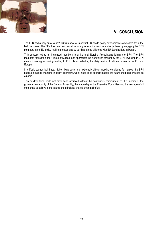

The EFN had a very busy Year 2008 with several important EU health policy developments advocated for in the last five years. The EFN has been successful in taking forward its mission and objectives by engaging the EFN members in the EU policy-making process and by building strong alliances with EU Stakeholders in Health.

This success led to an increased membership of National Nursing Associations joining the EFN. The EFN members feel safe in the "House of Nurses" and appreciate the work taken forward by the EFN. Investing in EFN means investing in nursing leading to EU policies reflecting the daily reality of millions nurses in the EU and Europe.

In difficult economical times, higher living costs and extremely difficult working conditions for nurses, the EFN keeps on leading changing in policy. Therefore, we all need to be optimistic about the future and being proud to be a nurse.

This positive trend could not have been achieved without the continuous commitment of EFN members, the governance capacity of the General Assembly, the leadership of the Executive Committee and the courage of all the nurses to believe in the values and principles shared among all of us.